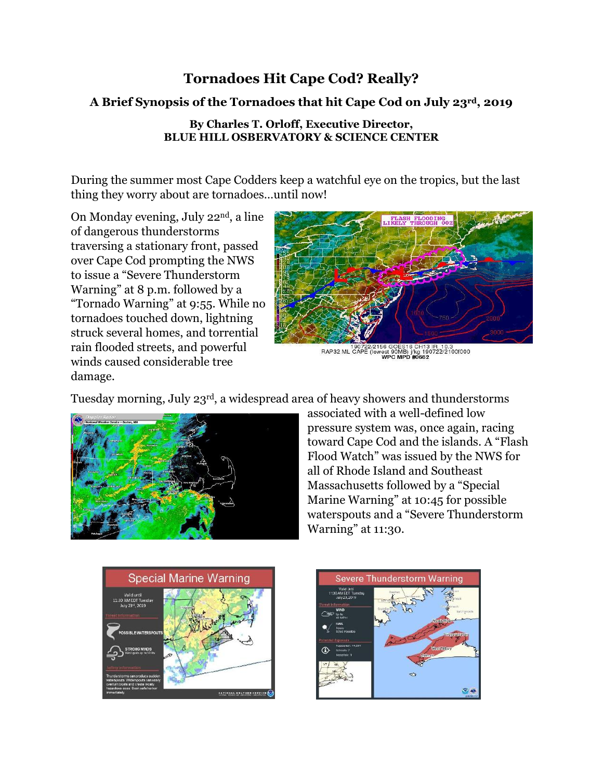## **Tornadoes Hit Cape Cod? Really?**

### **A Brief Synopsis of the Tornadoes that hit Cape Cod on July 23rd, 2019**

#### **By Charles T. Orloff, Executive Director, BLUE HILL OSBERVATORY & SCIENCE CENTER**

During the summer most Cape Codders keep a watchful eye on the tropics, but the last thing they worry about are tornadoes…until now!

On Monday evening, July 22nd, a line of dangerous thunderstorms traversing a stationary front, passed over Cape Cod prompting the NWS to issue a "Severe Thunderstorm Warning" at 8 p.m. followed by a "Tornado Warning" at 9:55. While no tornadoes touched down, lightning struck several homes, and torrential rain flooded streets, and powerful winds caused considerable tree damage.



/2156 GOES16 CH13 IR\_10.3<br>lowest 90MB) j/kg 190722/2100f000<br>**WPC MPD #0662** 190722/21

Tuesday morning, July 23rd, a widespread area of heavy showers and thunderstorms



associated with a well-defined low pressure system was, once again, racing toward Cape Cod and the islands. A "Flash Flood Watch" was issued by the NWS for all of Rhode Island and Southeast Massachusetts followed by a "Special Marine Warning" at 10:45 for possible waterspouts and a "Severe Thunderstorm Warning" at 11:30.



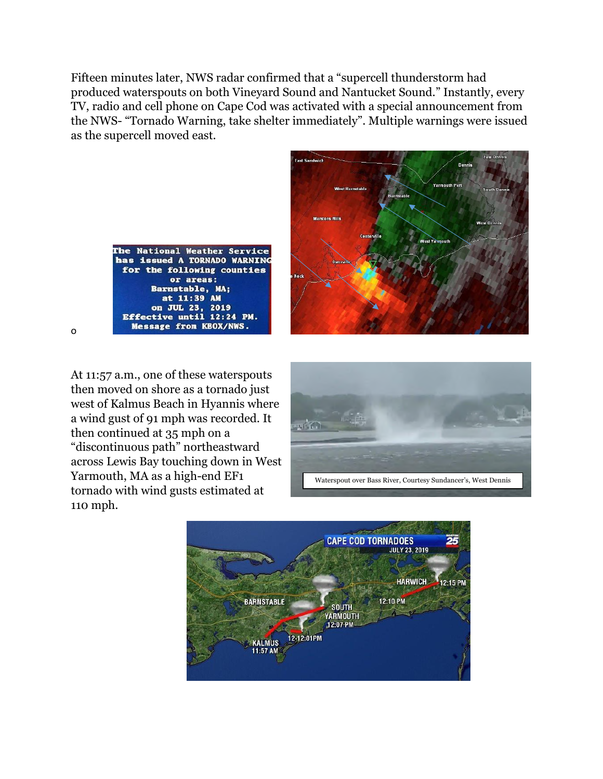Fifteen minutes later, NWS radar confirmed that a "supercell thunderstorm had produced waterspouts on both Vineyard Sound and Nantucket Sound." Instantly, every TV, radio and cell phone on Cape Cod was activated with a special announcement from the NWS- "Tornado Warning, take shelter immediately". Multiple warnings were issued as the supercell moved east.



o



At 11:57 a.m., one of these waterspouts then moved on shore as a tornado just west of Kalmus Beach in Hyannis where a wind gust of 91 mph was recorded. It then continued at 35 mph on a "discontinuous path" northeastward across Lewis Bay touching down in West Yarmouth, MA as a high-end EF1 tornado with wind gusts estimated at 110 mph.



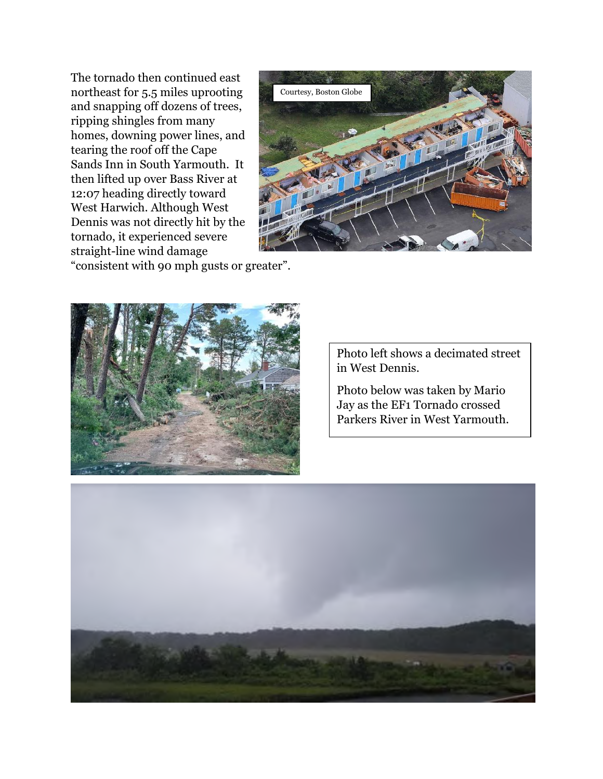The tornado then continued east northeast for 5.5 miles uprooting and snapping off dozens of trees, ripping shingles from many homes, downing power lines, and tearing the roof off the Cape Sands Inn in South Yarmouth. It then lifted up over Bass River at 12:07 heading directly toward West Harwich. Although West Dennis was not directly hit by the tornado, it experienced severe straight-line wind damage



"consistent with 90 mph gusts or greater".



Photo left shows a decimated street in West Dennis.

Photo below was taken by Mario Jay as the EF1 Tornado crossed Parkers River in West Yarmouth.

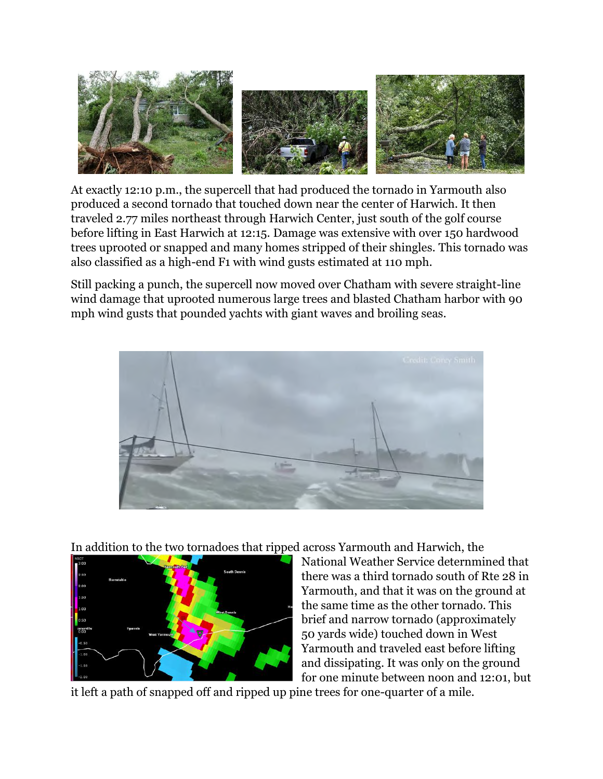

At exactly 12:10 p.m., the supercell that had produced the tornado in Yarmouth also produced a second tornado that touched down near the center of Harwich. It then traveled 2.77 miles northeast through Harwich Center, just south of the golf course before lifting in East Harwich at 12:15. Damage was extensive with over 150 hardwood trees uprooted or snapped and many homes stripped of their shingles. This tornado was also classified as a high-end F1 with wind gusts estimated at 110 mph.

Still packing a punch, the supercell now moved over Chatham with severe straight-line wind damage that uprooted numerous large trees and blasted Chatham harbor with 90 mph wind gusts that pounded yachts with giant waves and broiling seas.



In addition to the two tornadoes that ripped across Yarmouth and Harwich, the



National Weather Service deternmined that there was a third tornado south of Rte 28 in Yarmouth, and that it was on the ground at the same time as the other tornado. This brief and narrow tornado (approximately 50 yards wide) touched down in West Yarmouth and traveled east before lifting and dissipating. It was only on the ground for one minute between noon and 12:01, but

it left a path of snapped off and ripped up pine trees for one-quarter of a mile.